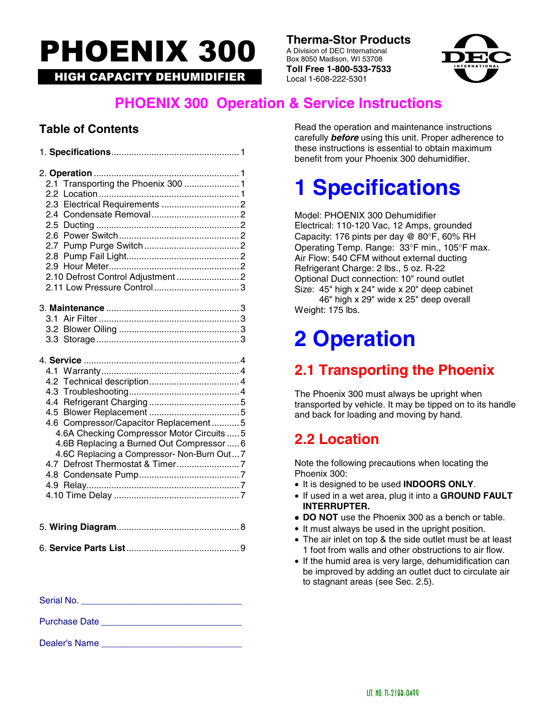# PHOENIX 300

**HIGH CAPACITY DEHUMIDIFIER** 

**Therma-Stor Products**<br>
A Division of DEC International<br>
Box 8050 Madison, WI 53708<br> **Toll Free 1-800-533-7533**<br>
Local 1-608-222-5301 A Division of DEC International Box 8050 Madison, WI 53708 **Toll Free 1-800-533-7533**



### **PHOENIX 300 Operation & Service Instructions**

### **Table of Contents**

| 2.1 Transporting the Phoenix 300  1        |  |
|--------------------------------------------|--|
|                                            |  |
|                                            |  |
|                                            |  |
|                                            |  |
|                                            |  |
|                                            |  |
|                                            |  |
|                                            |  |
|                                            |  |
|                                            |  |
|                                            |  |
|                                            |  |
|                                            |  |
|                                            |  |
|                                            |  |
|                                            |  |
|                                            |  |
|                                            |  |
|                                            |  |
| 4.6 Compressor/Capacitor Replacement5      |  |
| 4.6A Checking Compressor Motor Circuits  5 |  |
| 4.6B Replacing a Burned Out Compressor  6  |  |
| 4.6C Replacing a Compressor- Non-Burn Out7 |  |
|                                            |  |
|                                            |  |
|                                            |  |
|                                            |  |
|                                            |  |
|                                            |  |
|                                            |  |
|                                            |  |

| Serial No. |  |
|------------|--|
|            |  |

Purchase Date \_\_\_\_\_\_\_\_\_\_\_\_\_\_\_\_\_\_\_\_\_\_\_\_\_\_\_\_

Dealer's Name

Read the operation and maintenance instructions carefully *before* using this unit. Proper adherence to these instructions is essential to obtain maximum benefit from your Phoenix 300 dehumidifier.

## **1 Specifications**

Model: PHOENIX 300 Dehumidifier Electrical: 110-120 Vac, 12 Amps, grounded Capacity: 176 pints per day @ 80°F, 60% RH Operating Temp. Range: 33°F min., 105°F max. Air Flow: 540 CFM without external ducting Refrigerant Charge: 2 lbs., 5 oz. R-22 Optional Duct connection: 10" round outlet Size: 45" high x 24" wide x 20" deep cabinet 46" high x 29" wide x 25" deep overall Weight: 175 lbs.

## **2 Operation**

### **2.1 Transporting the Phoenix**

The Phoenix 300 must always be upright when transported by vehicle. It may be tipped on to its handle and back for loading and moving by hand.

### **2.2 Location**

Note the following precautions when locating the Phoenix 300:

- It is designed to be used **INDOORS ONLY**.
- If used in a wet area, plug it into a **GROUND FAULT INTERRUPTER.**
- **DO NOT** use the Phoenix 300 as a bench or table.
- It must always be used in the upright position.
- The air inlet on top & the side outlet must be at least 1 foot from walls and other obstructions to air flow.
- If the humid area is very large, dehumidification can be improved by adding an outlet duct to circulate air to stagnant areas (see Sec. 2.5).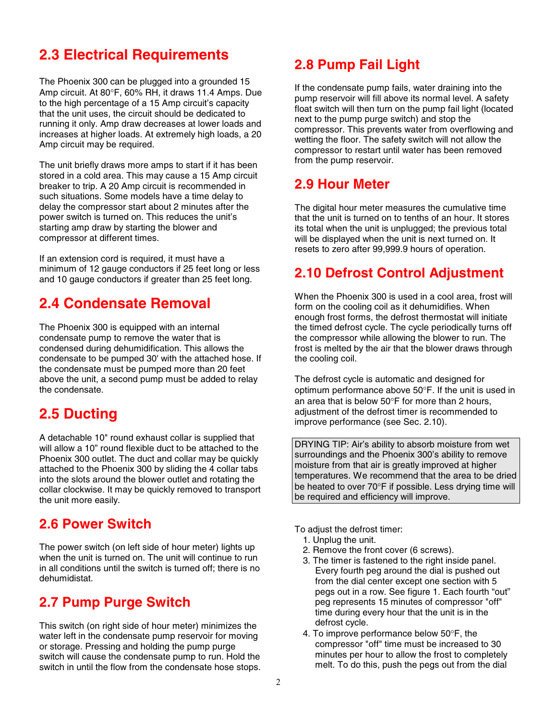### **2.3 Electrical Requirements**

The Phoenix 300 can be plugged into a grounded 15 Amp circuit. At 80°F, 60% RH, it draws 11.4 Amps. Due to the high percentage of a 15 Amp circuit's capacity that the unit uses, the circuit should be dedicated to running it only. Amp draw decreases at lower loads and increases at higher loads. At extremely high loads, a 20 Amp circuit may be required.

The unit briefly draws more amps to start if it has been stored in a cold area. This may cause a 15 Amp circuit breaker to trip. A 20 Amp circuit is recommended in such situations. Some models have a time delay to delay the compressor start about 2 minutes after the power switch is turned on. This reduces the unit's starting amp draw by starting the blower and compressor at different times.

If an extension cord is required, it must have a minimum of 12 gauge conductors if 25 feet long or less and 10 gauge conductors if greater than 25 feet long.

### **2.4 Condensate Removal**

The Phoenix 300 is equipped with an internal condensate pump to remove the water that is condensed during dehumidification. This allows the condensate to be pumped 30' with the attached hose. If the condensate must be pumped more than 20 feet above the unit, a second pump must be added to relay the condensate.

### **2.5 Ducting**

A detachable 10" round exhaust collar is supplied that will allow a 10" round flexible duct to be attached to the Phoenix 300 outlet. The duct and collar may be quickly attached to the Phoenix 300 by sliding the 4 collar tabs into the slots around the blower outlet and rotating the collar clockwise. It may be quickly removed to transport the unit more easily.

### **2.6 Power Switch**

The power switch (on left side of hour meter) lights up when the unit is turned on. The unit will continue to run in all conditions until the switch is turned off; there is no dehumidistat.

### **2.7 Pump Purge Switch**

This switch (on right side of hour meter) minimizes the water left in the condensate pump reservoir for moving or storage. Pressing and holding the pump purge switch will cause the condensate pump to run. Hold the switch in until the flow from the condensate hose stops.

### **2.8 Pump Fail Light**

If the condensate pump fails, water draining into the pump reservoir will fill above its normal level. A safety float switch will then turn on the pump fail light (located next to the pump purge switch) and stop the compressor. This prevents water from overflowing and wetting the floor. The safety switch will not allow the compressor to restart until water has been removed from the pump reservoir.

### **2.9 Hour Meter**

The digital hour meter measures the cumulative time that the unit is turned on to tenths of an hour. It stores its total when the unit is unplugged; the previous total will be displayed when the unit is next turned on. It resets to zero after 99,999.9 hours of operation.

### **2.10 Defrost Control Adjustment**

When the Phoenix 300 is used in a cool area, frost will form on the cooling coil as it dehumidifies. When enough frost forms, the defrost thermostat will initiate the timed defrost cycle. The cycle periodically turns off the compressor while allowing the blower to run. The frost is melted by the air that the blower draws through the cooling coil.

The defrost cycle is automatic and designed for optimum performance above 50°F. If the unit is used in an area that is below 50°F for more than 2 hours, adjustment of the defrost timer is recommended to improve performance (see Sec. 2.10).

DRYING TIP: Air's ability to absorb moisture from wet surroundings and the Phoenix 300's ability to remove moisture from that air is greatly improved at higher temperatures. We recommend that the area to be dried be heated to over 70°F if possible. Less drying time will be required and efficiency will improve.

To adjust the defrost timer:

- 1. Unplug the unit.
- 2. Remove the front cover (6 screws).
- 3. The timer is fastened to the right inside panel. Every fourth peg around the dial is pushed out from the dial center except one section with 5 pegs out in a row. See figure 1. Each fourth "out" peg represents 15 minutes of compressor "off" time during every hour that the unit is in the defrost cycle.
- 4. To improve performance below 50°F, the compressor "off" time must be increased to 30 minutes per hour to allow the frost to completely melt. To do this, push the pegs out from the dial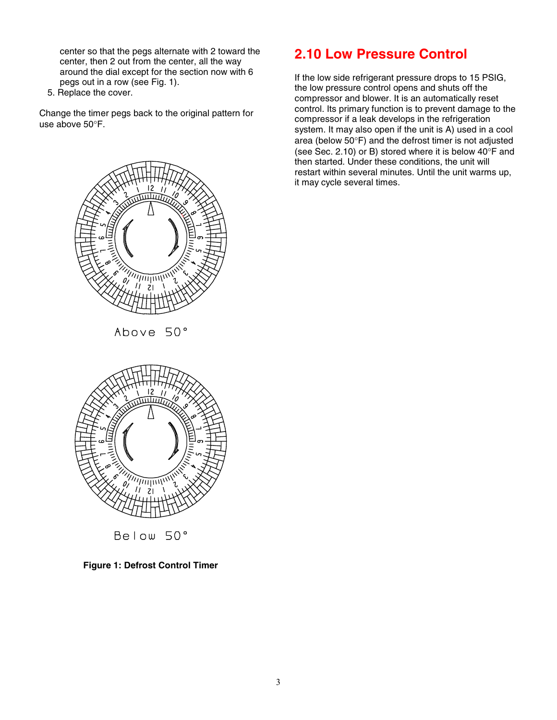center so that the pegs alternate with 2 toward the center, then 2 out from the center, all the way around the dial except for the section now with 6 pegs out in a row (see Fig. 1).

5. Replace the cover.

Change the timer pegs back to the original pattern for use above 50°F.





If the low side refrigerant pressure drops to 15 PSIG, the low pressure control opens and shuts off the compressor and blower. It is an automatically reset control. Its primary function is to prevent damage to the compressor if a leak develops in the refrigeration system. It may also open if the unit is A) used in a cool area (below 50°F) and the defrost timer is not adjusted (see Sec. 2.10) or B) stored where it is below 40°F and then started. Under these conditions, the unit will restart within several minutes. Until the unit warms up, it may cycle several times.





**Figure 1: Defrost Control Timer**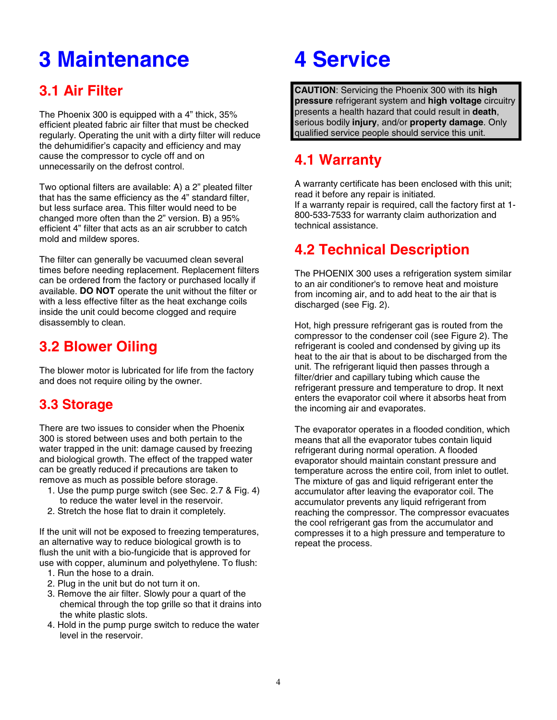## **3 Maintenance**

### **3.1 Air Filter**

The Phoenix 300 is equipped with a 4" thick, 35% efficient pleated fabric air filter that must be checked regularly. Operating the unit with a dirty filter will reduce the dehumidifier's capacity and efficiency and may cause the compressor to cycle off and on unnecessarily on the defrost control.

Two optional filters are available: A) a 2" pleated filter that has the same efficiency as the 4" standard filter, but less surface area. This filter would need to be changed more often than the 2" version. B) a 95% efficient 4" filter that acts as an air scrubber to catch mold and mildew spores.

The filter can generally be vacuumed clean several times before needing replacement. Replacement filters can be ordered from the factory or purchased locally if available. **DO NOT** operate the unit without the filter or with a less effective filter as the heat exchange coils inside the unit could become clogged and require disassembly to clean.

### **3.2 Blower Oiling**

The blower motor is lubricated for life from the factory and does not require oiling by the owner.

### **3.3 Storage**

There are two issues to consider when the Phoenix 300 is stored between uses and both pertain to the water trapped in the unit: damage caused by freezing and biological growth. The effect of the trapped water can be greatly reduced if precautions are taken to remove as much as possible before storage.

- 1. Use the pump purge switch (see Sec. 2.7 & Fig. 4) to reduce the water level in the reservoir.
- 2. Stretch the hose flat to drain it completely.

If the unit will not be exposed to freezing temperatures, an alternative way to reduce biological growth is to flush the unit with a bio-fungicide that is approved for use with copper, aluminum and polyethylene. To flush:

- 1. Run the hose to a drain.
- 2. Plug in the unit but do not turn it on.
- 3. Remove the air filter. Slowly pour a quart of the chemical through the top grille so that it drains into the white plastic slots.
- 4. Hold in the pump purge switch to reduce the water level in the reservoir.

## **4 Service**

**CAUTION**: Servicing the Phoenix 300 with its **high pressure** refrigerant system and **high voltage** circuitry presents a health hazard that could result in **death**, serious bodily **injury**, and/or **property damage**. Only qualified service people should service this unit.

### **4.1 Warranty**

A warranty certificate has been enclosed with this unit; read it before any repair is initiated. If a warranty repair is required, call the factory first at 1- 800-533-7533 for warranty claim authorization and technical assistance.

### **4.2 Technical Description**

The PHOENIX 300 uses a refrigeration system similar to an air conditioner's to remove heat and moisture from incoming air, and to add heat to the air that is discharged (see Fig. 2).

Hot, high pressure refrigerant gas is routed from the compressor to the condenser coil (see Figure 2). The refrigerant is cooled and condensed by giving up its heat to the air that is about to be discharged from the unit. The refrigerant liquid then passes through a filter/drier and capillary tubing which cause the refrigerant pressure and temperature to drop. It next enters the evaporator coil where it absorbs heat from the incoming air and evaporates.

The evaporator operates in a flooded condition, which means that all the evaporator tubes contain liquid refrigerant during normal operation. A flooded evaporator should maintain constant pressure and temperature across the entire coil, from inlet to outlet. The mixture of gas and liquid refrigerant enter the accumulator after leaving the evaporator coil. The accumulator prevents any liquid refrigerant from reaching the compressor. The compressor evacuates the cool refrigerant gas from the accumulator and compresses it to a high pressure and temperature to repeat the process.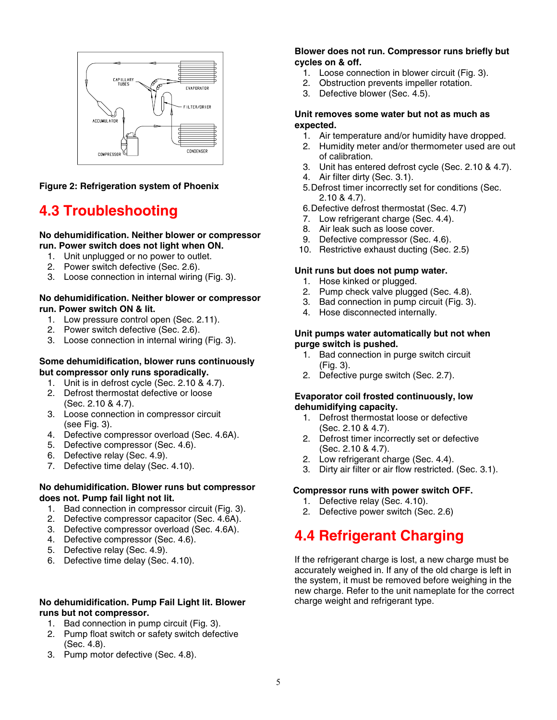

**Figure 2: Refrigeration system of Phoenix**

### **4.3 Troubleshooting**

#### **No dehumidification. Neither blower or compressor run. Power switch does not light when ON.**

- 1. Unit unplugged or no power to outlet.
- 2. Power switch defective (Sec. 2.6).
- 3. Loose connection in internal wiring (Fig. 3).

#### **No dehumidification. Neither blower or compressor run. Power switch ON & lit.**

- 1. Low pressure control open (Sec. 2.11).
- 2. Power switch defective (Sec. 2.6).
- 3. Loose connection in internal wiring (Fig. 3).

#### **Some dehumidification, blower runs continuously but compressor only runs sporadically.**

- 1. Unit is in defrost cycle (Sec. 2.10 & 4.7).
- 2. Defrost thermostat defective or loose (Sec. 2.10 & 4.7).
- 3. Loose connection in compressor circuit (see Fig. 3).
- 4. Defective compressor overload (Sec. 4.6A).
- 5. Defective compressor (Sec. 4.6).
- 6. Defective relay (Sec. 4.9).
- 7. Defective time delay (Sec. 4.10).

#### **No dehumidification. Blower runs but compressor does not. Pump fail light not lit.**

- 1. Bad connection in compressor circuit (Fig. 3).
- 2. Defective compressor capacitor (Sec. 4.6A).
- 3. Defective compressor overload (Sec. 4.6A).
- 4. Defective compressor (Sec. 4.6).
- 5. Defective relay (Sec. 4.9).
- 6. Defective time delay (Sec. 4.10).

#### **No dehumidification. Pump Fail Light lit. Blower runs but not compressor.**

- 1. Bad connection in pump circuit (Fig. 3).
- 2. Pump float switch or safety switch defective (Sec. 4.8).
- 3. Pump motor defective (Sec. 4.8).

#### **Blower does not run. Compressor runs briefly but cycles on & off.**

- 1. Loose connection in blower circuit (Fig. 3).
- 2. Obstruction prevents impeller rotation.
- 3. Defective blower (Sec. 4.5).

#### **Unit removes some water but not as much as expected.**

- 1. Air temperature and/or humidity have dropped.
- 2. Humidity meter and/or thermometer used are out of calibration.
- 3. Unit has entered defrost cycle (Sec. 2.10 & 4.7).
- 4. Air filter dirty (Sec. 3.1).
- 5.Defrost timer incorrectly set for conditions (Sec. 2.10 & 4.7).
- 6.Defective defrost thermostat (Sec. 4.7)
- 7. Low refrigerant charge (Sec. 4.4).
- 8. Air leak such as loose cover.
- 9. Defective compressor (Sec. 4.6).
- 10. Restrictive exhaust ducting (Sec. 2.5)

#### **Unit runs but does not pump water.**

- 1. Hose kinked or plugged.
- 2. Pump check valve plugged (Sec. 4.8).
- 3. Bad connection in pump circuit (Fig. 3).
- 4. Hose disconnected internally.

#### **Unit pumps water automatically but not when purge switch is pushed.**

- 1. Bad connection in purge switch circuit (Fig. 3).
- 2. Defective purge switch (Sec. 2.7).

#### **Evaporator coil frosted continuously, low dehumidifying capacity.**

- 1. Defrost thermostat loose or defective (Sec. 2.10 & 4.7).
- 2. Defrost timer incorrectly set or defective (Sec. 2.10 & 4.7).
- 2. Low refrigerant charge (Sec. 4.4).
- 3. Dirty air filter or air flow restricted. (Sec. 3.1).

#### **Compressor runs with power switch OFF.**

- 1. Defective relay (Sec. 4.10).
- 2. Defective power switch (Sec. 2.6)

### **4.4 Refrigerant Charging**

If the refrigerant charge is lost, a new charge must be accurately weighed in. If any of the old charge is left in the system, it must be removed before weighing in the new charge. Refer to the unit nameplate for the correct charge weight and refrigerant type.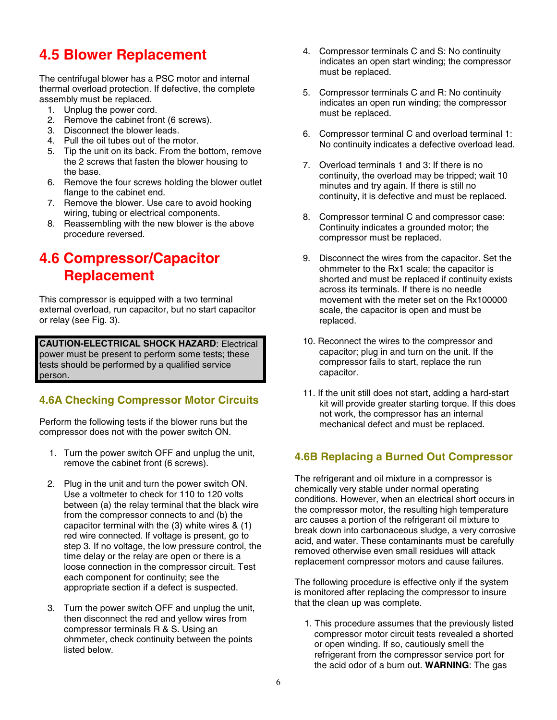### **4.5 Blower Replacement**

The centrifugal blower has a PSC motor and internal thermal overload protection. If defective, the complete assembly must be replaced.

- 1. Unplug the power cord.
- 2. Remove the cabinet front (6 screws).
- 3. Disconnect the blower leads.
- 4. Pull the oil tubes out of the motor.
- 5. Tip the unit on its back. From the bottom, remove the 2 screws that fasten the blower housing to the base.
- 6. Remove the four screws holding the blower outlet flange to the cabinet end.
- 7. Remove the blower. Use care to avoid hooking wiring, tubing or electrical components.
- 8. Reassembling with the new blower is the above procedure reversed.

### **4.6 Compressor/Capacitor Replacement**

This compressor is equipped with a two terminal external overload, run capacitor, but no start capacitor or relay (see Fig. 3).

**CAUTION-ELECTRICAL SHOCK HAZARD**: Electrical power must be present to perform some tests; these tests should be performed by a qualified service person.

#### **4.6A Checking Compressor Motor Circuits**

Perform the following tests if the blower runs but the compressor does not with the power switch ON.

- 1. Turn the power switch OFF and unplug the unit, remove the cabinet front (6 screws).
- 2. Plug in the unit and turn the power switch ON. Use a voltmeter to check for 110 to 120 volts between (a) the relay terminal that the black wire from the compressor connects to and (b) the capacitor terminal with the (3) white wires & (1) red wire connected. If voltage is present, go to step 3. If no voltage, the low pressure control, the time delay or the relay are open or there is a loose connection in the compressor circuit. Test each component for continuity; see the appropriate section if a defect is suspected.
- 3. Turn the power switch OFF and unplug the unit, then disconnect the red and yellow wires from compressor terminals R & S. Using an ohmmeter, check continuity between the points listed below.
- 4. Compressor terminals C and S: No continuity indicates an open start winding; the compressor must be replaced.
- 5. Compressor terminals C and R: No continuity indicates an open run winding; the compressor must be replaced.
- 6. Compressor terminal C and overload terminal 1: No continuity indicates a defective overload lead.
- 7. Overload terminals 1 and 3: If there is no continuity, the overload may be tripped; wait 10 minutes and try again. If there is still no continuity, it is defective and must be replaced.
- 8. Compressor terminal C and compressor case: Continuity indicates a grounded motor; the compressor must be replaced.
- 9. Disconnect the wires from the capacitor. Set the ohmmeter to the Rx1 scale; the capacitor is shorted and must be replaced if continuity exists across its terminals. If there is no needle movement with the meter set on the Rx100000 scale, the capacitor is open and must be replaced.
- 10. Reconnect the wires to the compressor and capacitor; plug in and turn on the unit. If the compressor fails to start, replace the run capacitor.
- 11. If the unit still does not start, adding a hard-start kit will provide greater starting torque. If this does not work, the compressor has an internal mechanical defect and must be replaced.

#### **4.6B Replacing a Burned Out Compressor**

The refrigerant and oil mixture in a compressor is chemically very stable under normal operating conditions. However, when an electrical short occurs in the compressor motor, the resulting high temperature arc causes a portion of the refrigerant oil mixture to break down into carbonaceous sludge, a very corrosive acid, and water. These contaminants must be carefully removed otherwise even small residues will attack replacement compressor motors and cause failures.

The following procedure is effective only if the system is monitored after replacing the compressor to insure that the clean up was complete.

1. This procedure assumes that the previously listed compressor motor circuit tests revealed a shorted or open winding. If so, cautiously smell the refrigerant from the compressor service port for the acid odor of a burn out. **WARNING**: The gas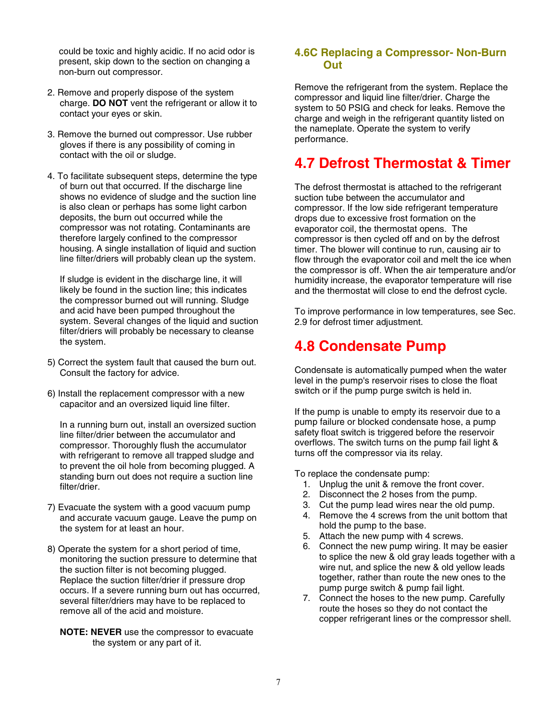could be toxic and highly acidic. If no acid odor is present, skip down to the section on changing a non-burn out compressor.

- 2. Remove and properly dispose of the system charge. **DO NOT** vent the refrigerant or allow it to contact your eyes or skin.
- 3. Remove the burned out compressor. Use rubber gloves if there is any possibility of coming in contact with the oil or sludge.
- 4. To facilitate subsequent steps, determine the type of burn out that occurred. If the discharge line shows no evidence of sludge and the suction line is also clean or perhaps has some light carbon deposits, the burn out occurred while the compressor was not rotating. Contaminants are therefore largely confined to the compressor housing. A single installation of liquid and suction line filter/driers will probably clean up the system.

If sludge is evident in the discharge line, it will likely be found in the suction line; this indicates the compressor burned out will running. Sludge and acid have been pumped throughout the system. Several changes of the liquid and suction filter/driers will probably be necessary to cleanse the system.

- 5) Correct the system fault that caused the burn out. Consult the factory for advice.
- 6) Install the replacement compressor with a new capacitor and an oversized liquid line filter.

In a running burn out, install an oversized suction line filter/drier between the accumulator and compressor. Thoroughly flush the accumulator with refrigerant to remove all trapped sludge and to prevent the oil hole from becoming plugged. A standing burn out does not require a suction line filter/drier.

- 7) Evacuate the system with a good vacuum pump and accurate vacuum gauge. Leave the pump on the system for at least an hour.
- 8) Operate the system for a short period of time, monitoring the suction pressure to determine that the suction filter is not becoming plugged. Replace the suction filter/drier if pressure drop occurs. If a severe running burn out has occurred, several filter/driers may have to be replaced to remove all of the acid and moisture.
	- **NOTE: NEVER** use the compressor to evacuate the system or any part of it.

#### **4.6C Replacing a Compressor- Non-Burn Out**

Remove the refrigerant from the system. Replace the compressor and liquid line filter/drier. Charge the system to 50 PSIG and check for leaks. Remove the charge and weigh in the refrigerant quantity listed on the nameplate. Operate the system to verify performance.

### **4.7 Defrost Thermostat & Timer**

The defrost thermostat is attached to the refrigerant suction tube between the accumulator and compressor. If the low side refrigerant temperature drops due to excessive frost formation on the evaporator coil, the thermostat opens. The compressor is then cycled off and on by the defrost timer. The blower will continue to run, causing air to flow through the evaporator coil and melt the ice when the compressor is off. When the air temperature and/or humidity increase, the evaporator temperature will rise and the thermostat will close to end the defrost cycle.

To improve performance in low temperatures, see Sec. 2.9 for defrost timer adjustment.

### **4.8 Condensate Pump**

Condensate is automatically pumped when the water level in the pump's reservoir rises to close the float switch or if the pump purge switch is held in.

If the pump is unable to empty its reservoir due to a pump failure or blocked condensate hose, a pump safety float switch is triggered before the reservoir overflows. The switch turns on the pump fail light & turns off the compressor via its relay.

To replace the condensate pump:

- 1. Unplug the unit & remove the front cover.
- 2. Disconnect the 2 hoses from the pump.
- 3. Cut the pump lead wires near the old pump.
- 4. Remove the 4 screws from the unit bottom that hold the pump to the base.
- 5. Attach the new pump with 4 screws.
- 6. Connect the new pump wiring. It may be easier to splice the new & old gray leads together with a wire nut, and splice the new & old yellow leads together, rather than route the new ones to the pump purge switch & pump fail light.
- 7. Connect the hoses to the new pump. Carefully route the hoses so they do not contact the copper refrigerant lines or the compressor shell.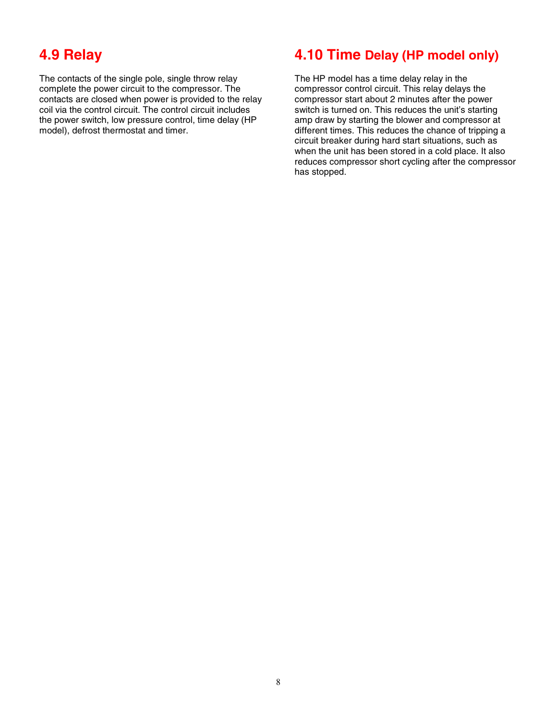### **4.9 Relay**

The contacts of the single pole, single throw relay complete the power circuit to the compressor. The contacts are closed when power is provided to the relay coil via the control circuit. The control circuit includes the power switch, low pressure control, time delay (HP model), defrost thermostat and timer.

### **4.10 Time Delay (HP model only)**

The HP model has a time delay relay in the compressor control circuit. This relay delays the compressor start about 2 minutes after the power switch is turned on. This reduces the unit's starting amp draw by starting the blower and compressor at different times. This reduces the chance of tripping a circuit breaker during hard start situations, such as when the unit has been stored in a cold place. It also reduces compressor short cycling after the compressor has stopped.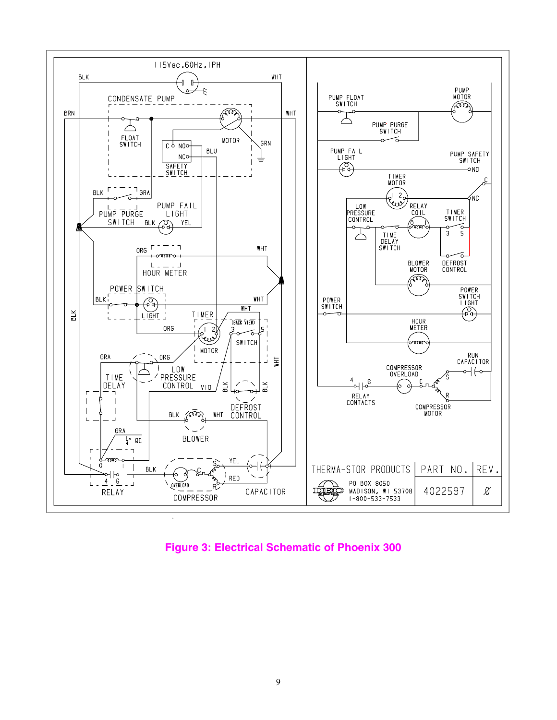

**Figure 3: Electrical Schematic of Phoenix 300**